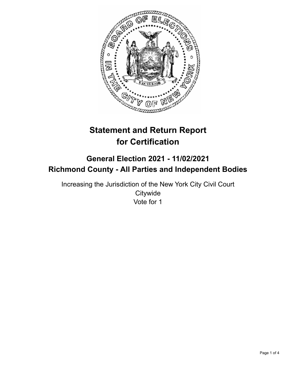

# **Statement and Return Report for Certification**

## **General Election 2021 - 11/02/2021 Richmond County - All Parties and Independent Bodies**

Increasing the Jurisdiction of the New York City Civil Court **Citywide** Vote for 1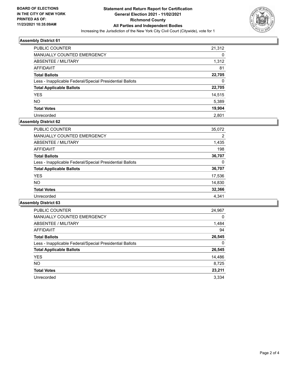

### **Assembly District 61**

| <b>PUBLIC COUNTER</b>                                    | 21,312 |
|----------------------------------------------------------|--------|
| MANUALLY COUNTED EMERGENCY                               | 0      |
| ABSENTEE / MILITARY                                      | 1,312  |
| AFFIDAVIT                                                | 81     |
| <b>Total Ballots</b>                                     | 22,705 |
| Less - Inapplicable Federal/Special Presidential Ballots | 0      |
| <b>Total Applicable Ballots</b>                          | 22,705 |
| <b>YES</b>                                               | 14,515 |
| <b>NO</b>                                                | 5,389  |
| <b>Total Votes</b>                                       | 19,904 |
| Unrecorded                                               | 2.801  |

## **Assembly District 62**

| <b>PUBLIC COUNTER</b>                                    | 35,072 |
|----------------------------------------------------------|--------|
| <b>MANUALLY COUNTED EMERGENCY</b>                        | 2      |
| ABSENTEE / MILITARY                                      | 1,435  |
| AFFIDAVIT                                                | 198    |
| <b>Total Ballots</b>                                     | 36,707 |
| Less - Inapplicable Federal/Special Presidential Ballots | 0      |
| <b>Total Applicable Ballots</b>                          | 36,707 |
| <b>YES</b>                                               | 17,536 |
| NO.                                                      | 14,830 |
| <b>Total Votes</b>                                       | 32,366 |
| Unrecorded                                               | 4.341  |

### **Assembly District 63**

| <b>PUBLIC COUNTER</b>                                    | 24,967   |
|----------------------------------------------------------|----------|
| <b>MANUALLY COUNTED EMERGENCY</b>                        | $\Omega$ |
| ABSENTEE / MILITARY                                      | 1,484    |
| <b>AFFIDAVIT</b>                                         | 94       |
| <b>Total Ballots</b>                                     | 26,545   |
| Less - Inapplicable Federal/Special Presidential Ballots | 0        |
| <b>Total Applicable Ballots</b>                          | 26,545   |
| <b>YES</b>                                               | 14,486   |
| <b>NO</b>                                                | 8,725    |
| <b>Total Votes</b>                                       | 23,211   |
| Unrecorded                                               | 3.334    |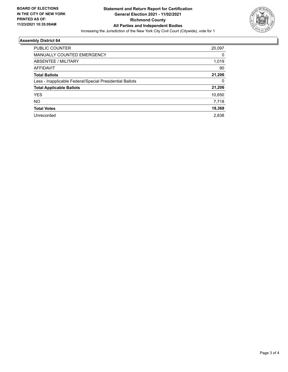

## **Assembly District 64**

| 20,097 |
|--------|
| 0      |
| 1,019  |
| 90     |
| 21,206 |
| 0      |
| 21,206 |
| 10,650 |
| 7.718  |
| 18,368 |
| 2.838  |
|        |